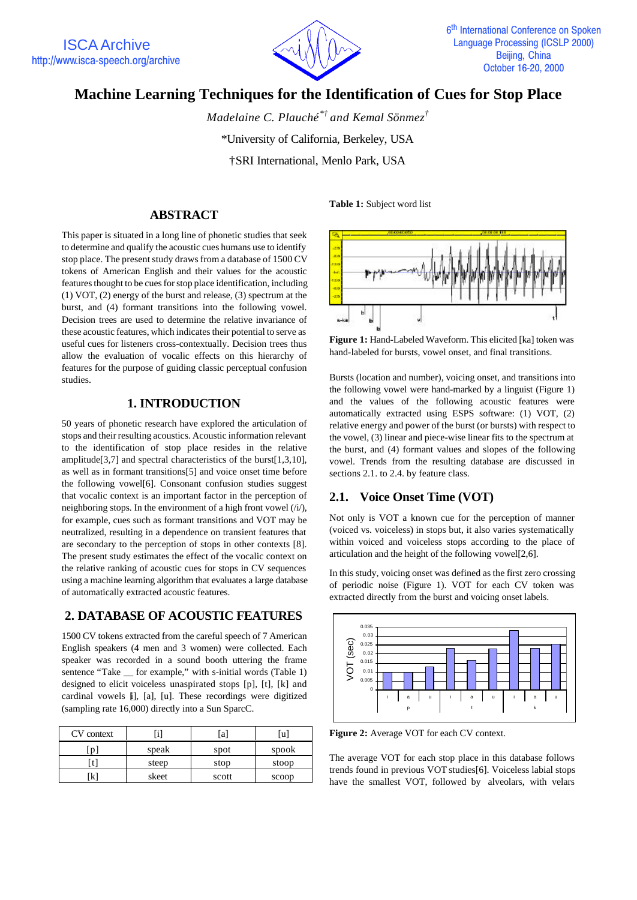

# **Machine Learning Techniques for the Identification of Cues for Stop Place**

*Madelaine C. Plauché\*† and Kemal Sönmez†* \*University of California, Berkeley, USA †SRI International, Menlo Park, USA

## **ABSTRACT**

This paper is situated in a long line of phonetic studies that seek to determine and qualify the acoustic cues humans use to identify stop place. The present study draws from a database of 1500 CV tokens of American English and their values for the acoustic features thought to be cues for stop place identification, including (1) VOT, (2) energy of the burst and release, (3) spectrum at the burst, and (4) formant transitions into the following vowel. Decision trees are used to determine the relative invariance of these acoustic features, which indicates their potential to serve as useful cues for listeners cross-contextually. Decision trees thus allow the evaluation of vocalic effects on this hierarchy of features for the purpose of guiding classic perceptual confusion studies.

## **1. INTRODUCTION**

50 years of phonetic research have explored the articulation of stops and their resulting acoustics. Acoustic information relevant to the identification of stop place resides in the relative amplitude[3,7] and spectral characteristics of the burst[1,3,10], as well as in formant transitions[5] and voice onset time before the following vowel[6]. Consonant confusion studies suggest that vocalic context is an important factor in the perception of neighboring stops. In the environment of a high front vowel (/i/), for example, cues such as formant transitions and VOT may be neutralized, resulting in a dependence on transient features that are secondary to the perception of stops in other contexts [8]. The present study estimates the effect of the vocalic context on the relative ranking of acoustic cues for stops in CV sequences using a machine learning algorithm that evaluates a large database of automatically extracted acoustic features.

## **2. DATABASE OF ACOUSTIC FEATURES**

1500 CV tokens extracted from the careful speech of 7 American English speakers (4 men and 3 women) were collected. Each speaker was recorded in a sound booth uttering the frame sentence "Take \_ for example," with s-initial words (Table 1) designed to elicit voiceless unaspirated stops [p], [t], [k] and cardinal vowels [i], [a], [u]. These recordings were digitized (sampling rate 16,000) directly into a Sun SparcC.

| CV context |       | a     | lu    |  |  |
|------------|-------|-------|-------|--|--|
|            | speak | spot  | spook |  |  |
|            | steep | stop  | stoop |  |  |
| k          | skeet | scott | scoop |  |  |

**Table 1:** Subject word list



**Figure 1:** Hand-Labeled Waveform. This elicited [ka] token was hand-labeled for bursts, vowel onset, and final transitions.

Bursts (location and number), voicing onset, and transitions into the following vowel were hand-marked by a linguist (Figure 1) and the values of the following acoustic features were automatically extracted using ESPS software: (1) VOT, (2) relative energy and power of the burst (or bursts) with respect to the vowel, (3) linear and piece-wise linear fits to the spectrum at the burst, and (4) formant values and slopes of the following vowel. Trends from the resulting database are discussed in sections 2.1. to 2.4. by feature class.

## **2.1. Voice Onset Time (VOT)**

Not only is VOT a known cue for the perception of manner (voiced vs. voiceless) in stops but, it also varies systematically within voiced and voiceless stops according to the place of articulation and the height of the following vowel[2,6].

In this study, voicing onset was defined as the first zero crossing of periodic noise (Figure 1). VOT for each CV token was extracted directly from the burst and voicing onset labels.



**Figure 2:** Average VOT for each CV context.

The average VOT for each stop place in this database follows trends found in previous VOT studies[6]. Voiceless labial stops have the smallest VOT, followed by alveolars, with velars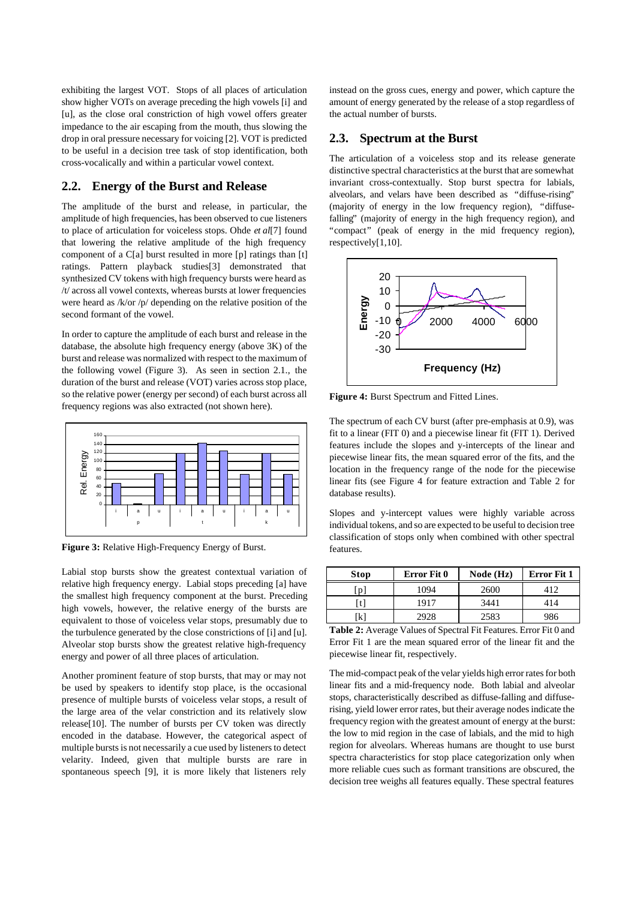exhibiting the largest VOT. Stops of all places of articulation show higher VOTs on average preceding the high vowels [i] and [u], as the close oral constriction of high vowel offers greater impedance to the air escaping from the mouth, thus slowing the drop in oral pressure necessary for voicing [2]. VOT is predicted to be useful in a decision tree task of stop identification, both cross-vocalically and within a particular vowel context.

## **2.2. Energy of the Burst and Release**

The amplitude of the burst and release, in particular, the amplitude of high frequencies, has been observed to cue listeners to place of articulation for voiceless stops. Ohde *et al*[7] found that lowering the relative amplitude of the high frequency component of a C[a] burst resulted in more [p] ratings than [t] ratings. Pattern playback studies[3] demonstrated that synthesized CV tokens with high frequency bursts were heard as /t/ across all vowel contexts, whereas bursts at lower frequencies were heard as /k/or /p/ depending on the relative position of the second formant of the vowel.

In order to capture the amplitude of each burst and release in the database, the absolute high frequency energy (above 3K) of the burst and release was normalized with respect to the maximum of the following vowel (Figure 3). As seen in section 2.1., the duration of the burst and release (VOT) varies across stop place, so the relative power (energy per second) of each burst across all frequency regions was also extracted (not shown here).



**Figure 3:** Relative High-Frequency Energy of Burst.

Labial stop bursts show the greatest contextual variation of relative high frequency energy. Labial stops preceding [a] have the smallest high frequency component at the burst. Preceding high vowels, however, the relative energy of the bursts are equivalent to those of voiceless velar stops, presumably due to the turbulence generated by the close constrictions of [i] and [u]. Alveolar stop bursts show the greatest relative high-frequency energy and power of all three places of articulation.

Another prominent feature of stop bursts, that may or may not be used by speakers to identify stop place, is the occasional presence of multiple bursts of voiceless velar stops, a result of the large area of the velar constriction and its relatively slow release[10]. The number of bursts per CV token was directly encoded in the database. However, the categorical aspect of multiple bursts is not necessarily a cue used by listeners to detect velarity. Indeed, given that multiple bursts are rare in spontaneous speech [9], it is more likely that listeners rely

instead on the gross cues, energy and power, which capture the amount of energy generated by the release of a stop regardless of the actual number of bursts.

## **2.3. Spectrum at the Burst**

The articulation of a voiceless stop and its release generate distinctive spectral characteristics at the burst that are somewhat invariant cross-contextually. Stop burst spectra for labials, alveolars, and velars have been described as "diffuse-rising" (majority of energy in the low frequency region), "diffusefalling" (majority of energy in the high frequency region), and "compact" (peak of energy in the mid frequency region), respectively[1,10].



**Figure 4:** Burst Spectrum and Fitted Lines.

The spectrum of each CV burst (after pre-emphasis at 0.9), was fit to a linear (FIT 0) and a piecewise linear fit (FIT 1). Derived features include the slopes and y-intercepts of the linear and piecewise linear fits, the mean squared error of the fits, and the location in the frequency range of the node for the piecewise linear fits (see Figure 4 for feature extraction and Table 2 for database results).

Slopes and y-intercept values were highly variable across individual tokens, and so are expected to be useful to decision tree classification of stops only when combined with other spectral features.

| <b>Stop</b> | Error Fit 0 | Node (Hz) | Error Fit 1 |
|-------------|-------------|-----------|-------------|
| n           | 1094        | 2600      | 412         |
|             | 1917        | 3441      | 414         |
| kl          | 2928        | 2583      | 986         |

**Table 2:** Average Values of Spectral Fit Features. Error Fit 0 and Error Fit 1 are the mean squared error of the linear fit and the piecewise linear fit, respectively.

The mid-compact peak of the velar yields high error rates for both linear fits and a mid-frequency node. Both labial and alveolar stops, characteristically described as diffuse-falling and diffuserising, yield lower error rates, but their average nodes indicate the frequency region with the greatest amount of energy at the burst: the low to mid region in the case of labials, and the mid to high region for alveolars. Whereas humans are thought to use burst spectra characteristics for stop place categorization only when more reliable cues such as formant transitions are obscured, the decision tree weighs all features equally. These spectral features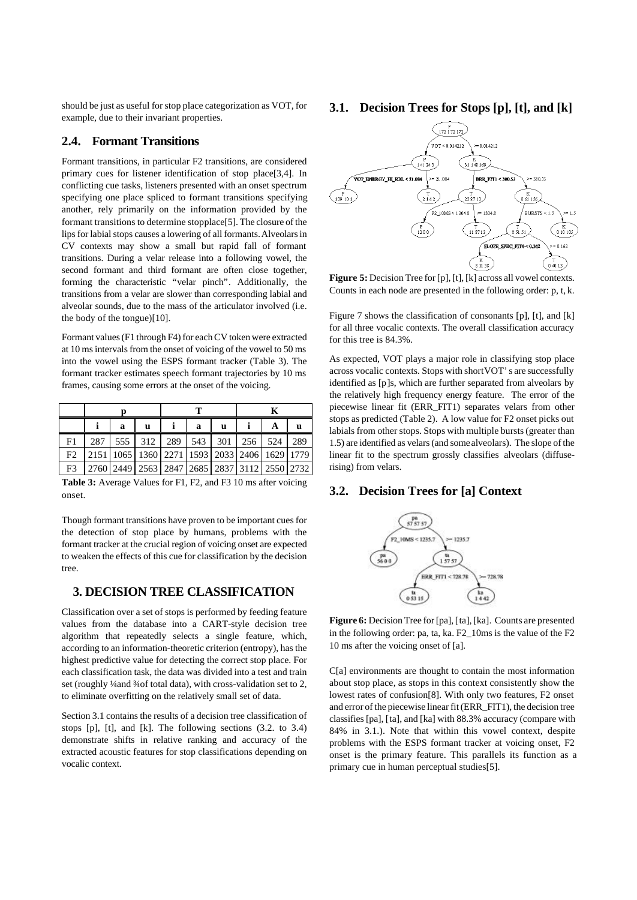should be just as useful for stop place categorization as VOT, for example, due to their invariant properties.

#### **2.4. Formant Transitions**

Formant transitions, in particular F2 transitions, are considered primary cues for listener identification of stop place[3,4]. In conflicting cue tasks, listeners presented with an onset spectrum specifying one place spliced to formant transitions specifying another, rely primarily on the information provided by the formant transitions to determine stop place[5]. The closure of the lips for labial stops causes a lowering of all formants. Alveolars in CV contexts may show a small but rapid fall of formant transitions. During a velar release into a following vowel, the second formant and third formant are often close together, forming the characteristic "velar pinch". Additionally, the transitions from a velar are slower than corresponding labial and alveolar sounds, due to the mass of the articulator involved (i.e. the body of the tongue)[10].

Formant values (F1 through F4) for each CV token were extracted at 10 ms intervals from the onset of voicing of the vowel to 50 ms into the vowel using the ESPS formant tracker (Table 3). The formant tracker estimates speech formant trajectories by 10 ms frames, causing some errors at the onset of the voicing.

|                |                                              | a | u                           |  | a | u |  | А | u   |
|----------------|----------------------------------------------|---|-----------------------------|--|---|---|--|---|-----|
| F1             | 287                                          |   | 555 312 289 543 301 256 524 |  |   |   |  |   | 289 |
| F <sub>2</sub> | 2151 1065 1360 2271 1593 2033 2406 1629 1779 |   |                             |  |   |   |  |   |     |
| F3             | 2760 2449 2563 2847 2685 2837 3112 2550 2732 |   |                             |  |   |   |  |   |     |

**Table 3:** Average Values for F1, F2, and F3 10 ms after voicing onset.

Though formant transitions have proven to be important cues for the detection of stop place by humans, problems with the formant tracker at the crucial region of voicing onset are expected to weaken the effects of this cue for classification by the decision tree.

## **3. DECISION TREE CLASSIFICATION**

Classification over a set of stops is performed by feeding feature values from the database into a CART-style decision tree algorithm that repeatedly selects a single feature, which, according to an information-theoretic criterion (entropy), has the highest predictive value for detecting the correct stop place. For each classification task, the data was divided into a test and train set (roughly ¼ and ¼ of total data), with cross-validation set to 2, to eliminate overfitting on the relatively small set of data.

Section 3.1 contains the results of a decision tree classification of stops [p], [t], and [k]. The following sections (3.2. to 3.4) demonstrate shifts in relative ranking and accuracy of the extracted acoustic features for stop classifications depending on vocalic context.

## **3.1. Decision Trees for Stops [p], [t], and [k]**



**Figure 5:** Decision Tree for [p], [t], [k] across all vowel contexts. Counts in each node are presented in the following order: p, t, k.

Figure 7 shows the classification of consonants [p], [t], and [k] for all three vocalic contexts. The overall classification accuracy for this tree is 84.3%.

As expected, VOT plays a major role in classifying stop place across vocalic contexts. Stops with short VOT's are successfully identified as [p]s, which are further separated from alveolars by the relatively high frequency energy feature. The error of the piecewise linear fit (ERR\_FIT1) separates velars from other stops as predicted (Table 2). A low value for F2 onset picks out labials from other stops. Stops with multiple bursts (greater than 1.5) are identified as velars (and some alveolars). The slope of the linear fit to the spectrum grossly classifies alveolars (diffuserising) from velars.

#### **3.2. Decision Trees for [a] Context**



**Figure 6:** Decision Tree for [pa], [ta], [ka]. Counts are presented in the following order: pa, ta, ka. F2\_10ms is the value of the F2 10 ms after the voicing onset of [a].

C[a] environments are thought to contain the most information about stop place, as stops in this context consistently show the lowest rates of confusion[8]. With only two features, F2 onset and error of the piecewise linear fit (ERR\_FIT1), the decision tree classifies [pa], [ta], and [ka] with 88.3% accuracy (compare with 84% in 3.1.). Note that within this vowel context, despite problems with the ESPS formant tracker at voicing onset, F2 onset is the primary feature. This parallels its function as a primary cue in human perceptual studies[5].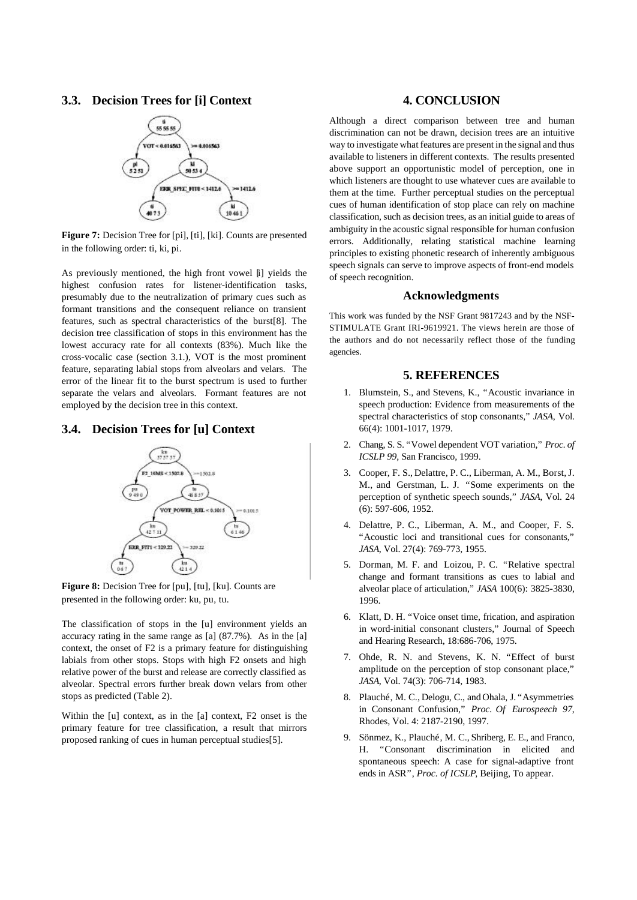#### **3.3. Decision Trees for [i] Context**



**Figure 7:** Decision Tree for [pi], [ti], [ki]. Counts are presented in the following order: ti, ki, pi.

As previously mentioned, the high front vowel [i] yields the highest confusion rates for listener-identification tasks, presumably due to the neutralization of primary cues such as formant transitions and the consequent reliance on transient features, such as spectral characteristics of the burst[8]. The decision tree classification of stops in this environment has the lowest accuracy rate for all contexts (83%). Much like the cross-vocalic case (section 3.1.), VOT is the most prominent feature, separating labial stops from alveolars and velars. The error of the linear fit to the burst spectrum is used to further separate the velars and alveolars. Formant features are not employed by the decision tree in this context.

## **3.4. Decision Trees for [u] Context**



**Figure 8:** Decision Tree for [pu], [tu], [ku]. Counts are presented in the following order: ku, pu, tu.

The classification of stops in the [u] environment yields an accuracy rating in the same range as [a] (87.7%). As in the [a] context, the onset of F2 is a primary feature for distinguishing labials from other stops. Stops with high F2 onsets and high relative power of the burst and release are correctly classified as alveolar. Spectral errors further break down velars from other stops as predicted (Table 2).

Within the [u] context, as in the [a] context, F2 onset is the primary feature for tree classification, a result that mirrors proposed ranking of cues in human perceptual studies[5].

#### **4. CONCLUSION**

Although a direct comparison between tree and human discrimination can not be drawn, decision trees are an intuitive way to investigate what features are present in the signal and thus available to listeners in different contexts. The results presented above support an opportunistic model of perception, one in which listeners are thought to use whatever cues are available to them at the time. Further perceptual studies on the perceptual cues of human identification of stop place can rely on machine classification, such as decision trees, as an initial guide to areas of ambiguity in the acoustic signal responsible for human confusion errors. Additionally, relating statistical machine learning principles to existing phonetic research of inherently ambiguous speech signals can serve to improve aspects of front-end models of speech recognition.

#### **Acknowledgments**

This work was funded by the NSF Grant 9817243 and by the NSF-STIMULATE Grant IRI-9619921. The views herein are those of the authors and do not necessarily reflect those of the funding agencies.

## **5. REFERENCES**

- 1. Blumstein, S., and Stevens, K., "Acoustic invariance in speech production: Evidence from measurements of the spectral characteristics of stop consonants," *JASA*, Vol. 66(4): 1001-1017, 1979.
- 2. Chang, S. S. "Vowel dependent VOT variation," *Proc. of ICSLP 99*, San Francisco, 1999.
- 3. Cooper, F. S., Delattre, P. C., Liberman, A. M., Borst, J. M., and Gerstman, L. J. "Some experiments on the perception of synthetic speech sounds," *JASA*, Vol. 24 (6): 597-606, 1952.
- 4. Delattre, P. C., Liberman, A. M., and Cooper, F. S. "Acoustic loci and transitional cues for consonants," *JASA*, Vol. 27(4): 769-773, 1955.
- 5. Dorman, M. F. and Loizou, P. C. "Relative spectral change and formant transitions as cues to labial and alveolar place of articulation," *JASA* 100(6): 3825-3830, 1996.
- 6. Klatt, D. H. "Voice onset time, frication, and aspiration in word-initial consonant clusters," Journal of Speech and Hearing Research, 18:686-706, 1975.
- 7. Ohde, R. N. and Stevens, K. N. "Effect of burst amplitude on the perception of stop consonant place," *JASA*, Vol. 74(3): 706-714, 1983.
- 8. Plauché, M. C., Delogu, C., and Ohala, J. "Asymmetries in Consonant Confusion," *Proc. Of Eurospeech 97*, Rhodes, Vol. 4: 2187-2190, 1997.
- 9. Sönmez, K., Plauché, M. C., Shriberg, E. E., and Franco, H. "Consonant discrimination in elicited and spontaneous speech: A case for signal-adaptive front ends in ASR", *Proc. of ICSLP*, Beijing, To appear.